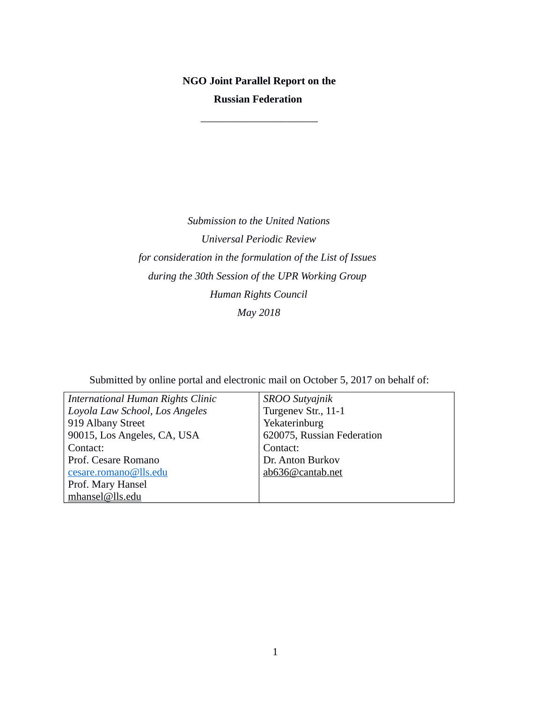# **NGO Joint Parallel Report on the Russian Federation**

\_\_\_\_\_\_\_\_\_\_\_\_\_\_\_\_\_\_\_\_\_\_

*Submission to the United Nations Universal Periodic Review for consideration in the formulation of the List of Issues during the 30th Session of the UPR Working Group Human Rights Council May 2018*

Submitted by online portal and electronic mail on October 5, 2017 on behalf of:

| International Human Rights Clinic | <b>SROO Sutyajnik</b>      |
|-----------------------------------|----------------------------|
| Loyola Law School, Los Angeles    | Turgenev Str., 11-1        |
| 919 Albany Street                 | Yekaterinburg              |
| 90015, Los Angeles, CA, USA       | 620075, Russian Federation |
| Contact:                          | Contact:                   |
| Prof. Cesare Romano               | Dr. Anton Burkov           |
| cesare.romano@lls.edu             | ab636@cantab.net           |
| Prof. Mary Hansel                 |                            |
| mhansel@lls.edu                   |                            |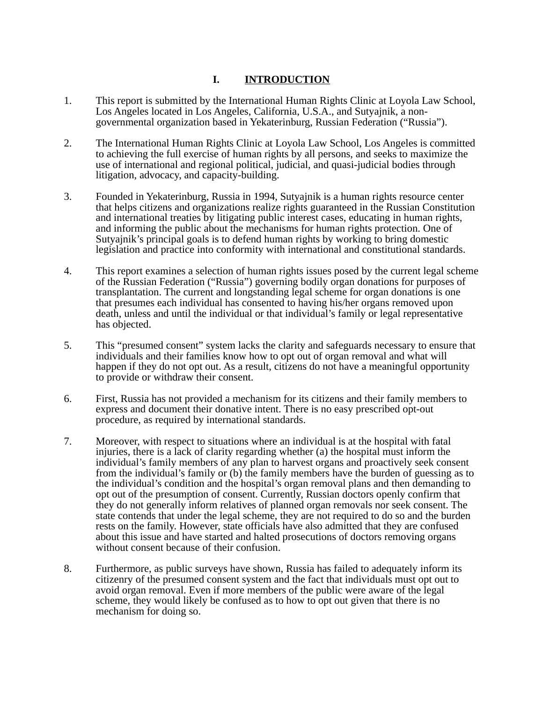# **I. INTRODUCTION**

- 1. This report is submitted by the International Human Rights Clinic at Loyola Law School, Los Angeles located in Los Angeles, California, U.S.A., and Sutyajnik, a nongovernmental organization based in Yekaterinburg, Russian Federation ("Russia").
- 2. The International Human Rights Clinic at Loyola Law School, Los Angeles is committed to achieving the full exercise of human rights by all persons, and seeks to maximize the use of international and regional political, judicial, and quasi-judicial bodies through litigation, advocacy, and capacity-building.
- 3. Founded in Yekaterinburg, Russia in 1994, Sutyajnik is a human rights resource center that helps citizens and organizations realize rights guaranteed in the Russian Constitution and international treaties by litigating public interest cases, educating in human rights, and informing the public about the mechanisms for human rights protection. One of Sutyajnik's principal goals is to defend human rights by working to bring domestic legislation and practice into conformity with international and constitutional standards.
- 4. This report examines a selection of human rights issues posed by the current legal scheme of the Russian Federation ("Russia") governing bodily organ donations for purposes of transplantation. The current and longstanding legal scheme for organ donations is one that presumes each individual has consented to having his/her organs removed upon death, unless and until the individual or that individual's family or legal representative has objected.
- 5. This "presumed consent" system lacks the clarity and safeguards necessary to ensure that individuals and their families know how to opt out of organ removal and what will happen if they do not opt out. As a result, citizens do not have a meaningful opportunity to provide or withdraw their consent.
- 6. First, Russia has not provided a mechanism for its citizens and their family members to express and document their donative intent. There is no easy prescribed opt-out procedure, as required by international standards.
- 7. Moreover, with respect to situations where an individual is at the hospital with fatal injuries, there is a lack of clarity regarding whether (a) the hospital must inform the individual's family members of any plan to harvest organs and proactively seek consent from the individual's family or (b) the family members have the burden of guessing as to the individual's condition and the hospital's organ removal plans and then demanding to opt out of the presumption of consent. Currently, Russian doctors openly confirm that they do not generally inform relatives of planned organ removals nor seek consent. The state contends that under the legal scheme, they are not required to do so and the burden rests on the family. However, state officials have also admitted that they are confused about this issue and have started and halted prosecutions of doctors removing organs without consent because of their confusion.
- 8. Furthermore, as public surveys have shown, Russia has failed to adequately inform its citizenry of the presumed consent system and the fact that individuals must opt out to avoid organ removal. Even if more members of the public were aware of the legal scheme, they would likely be confused as to how to opt out given that there is no mechanism for doing so.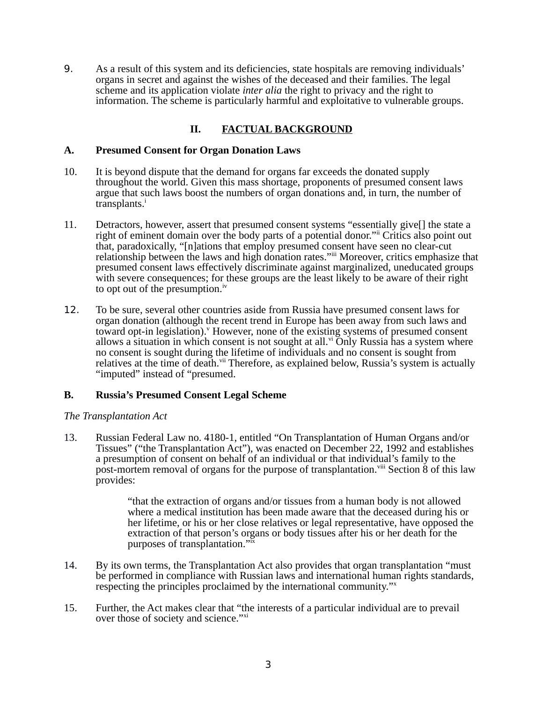9. As a result of this system and its deficiencies, state hospitals are removing individuals' organs in secret and against the wishes of the deceased and their families. The legal scheme and its application violate *inter alia* the right to privacy and the right to information. The scheme is particularly harmful and exploitative to vulnerable groups.

# **II. FACTUAL BACKGROUND**

### **A. Presumed Consent for Organ Donation Laws**

- 10. It is beyond dispute that the demand for organs far exceeds the donated supply throughout the world. Given this mass shortage, proponents of presumed consent laws argue that such laws boost the numbers of organ donations and, in turn, the number of transplants.<sup>i</sup>
- 11. Detractors, however, assert that presumed consent systems "essentially give[] the state a right of eminent domain over the body parts of a potential donor." Critics also point out that, paradoxically, "[n]ations that employ presumed consent have seen no clear-cut relationship between the laws and high donation rates."iii Moreover, critics emphasize that presumed consent laws effectively discriminate against marginalized, uneducated groups with severe consequences; for these groups are the least likely to be aware of their right to opt out of the presumption.<sup>iv</sup>
- 12. To be sure, several other countries aside from Russia have presumed consent laws for organ donation (although the recent trend in Europe has been away from such laws and toward opt-in legislation). However, none of the existing systems of presumed consent allows a situation in which consent is not sought at all. $v<sup>i</sup>$  Only Russia has a system where no consent is sought during the lifetime of individuals and no consent is sought from relatives at the time of death.<sup>vii</sup> Therefore, as explained below, Russia's system is actually "imputed" instead of "presumed.

# **B. Russia's Presumed Consent Legal Scheme**

#### *The Transplantation Act*

13. Russian Federal Law no. 4180-1, entitled "On Transplantation of Human Organs and/or Tissues" ("the Transplantation Act"), was enacted on December 22, 1992 and establishes a presumption of consent on behalf of an individual or that individual's family to the post-mortem removal of organs for the purpose of transplantation.<sup> $v$ iii</sup> Section 8 of this law provides:

> "that the extraction of organs and/or tissues from a human body is not allowed where a medical institution has been made aware that the deceased during his or her lifetime, or his or her close relatives or legal representative, have opposed the extraction of that person's organs or body tissues after his or her death for the purposes of transplantation."ix

- 14. By its own terms, the Transplantation Act also provides that organ transplantation "must be performed in compliance with Russian laws and international human rights standards, respecting the principles proclaimed by the international community."<sup>x</sup>
- 15. Further, the Act makes clear that "the interests of a particular individual are to prevail over those of society and science."<sup>xi</sup>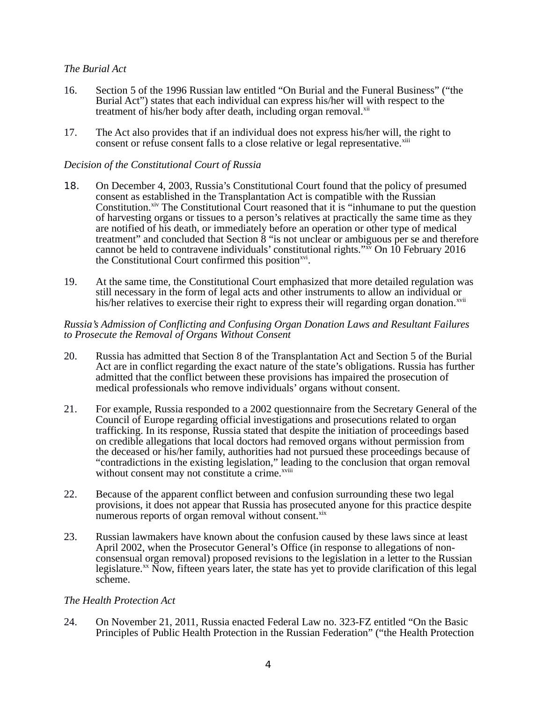# *The Burial Act*

- 16. Section 5 of the 1996 Russian law entitled "On Burial and the Funeral Business" ("the Burial Act") states that each individual can express his/her will with respect to the treatment of his/her body after death, including organ removal.<sup>xii</sup>
- 17. The Act also provides that if an individual does not express his/her will, the right to consent or refuse consent falls to a close relative or legal representative.<sup>xiii</sup>

# *Decision of the Constitutional Court of Russia*

- 18. On December 4, 2003, Russia's Constitutional Court found that the policy of presumed consent as established in the Transplantation Act is compatible with the Russian Constitution.<sup>xiv</sup> The Constitutional Court reasoned that it is "inhumane to put the question of harvesting organs or tissues to a person's relatives at practically the same time as they are notified of his death, or immediately before an operation or other type of medical treatment" and concluded that Section  $\ddot{8}$  "is not unclear or ambiguous per se and therefore cannot be held to contravene individuals' constitutional rights." $\frac{1}{x}$  On 10 February 2016 the Constitutional Court confirmed this position<sup>xvi</sup>.
- 19. At the same time, the Constitutional Court emphasized that more detailed regulation was still necessary in the form of legal acts and other instruments to allow an individual or his/her relatives to exercise their right to express their will regarding organ donation.<sup>xvii</sup>

#### *Russia's Admission of Conflicting and Confusing Organ Donation Laws and Resultant Failures to Prosecute the Removal of Organs Without Consent*

- 20. Russia has admitted that Section 8 of the Transplantation Act and Section 5 of the Burial Act are in conflict regarding the exact nature of the state's obligations. Russia has further admitted that the conflict between these provisions has impaired the prosecution of medical professionals who remove individuals' organs without consent.
- 21. For example, Russia responded to a 2002 questionnaire from the Secretary General of the Council of Europe regarding official investigations and prosecutions related to organ trafficking. In its response, Russia stated that despite the initiation of proceedings based on credible allegations that local doctors had removed organs without permission from the deceased or his/her family, authorities had not pursued these proceedings because of "contradictions in the existing legislation," leading to the conclusion that organ removal without consent may not constitute a crime.<sup>xviii</sup>
- 22. Because of the apparent conflict between and confusion surrounding these two legal provisions, it does not appear that Russia has prosecuted anyone for this practice despite numerous reports of organ removal without consent.<sup>xix</sup>
- 23. Russian lawmakers have known about the confusion caused by these laws since at least April 2002, when the Prosecutor General's Office (in response to allegations of nonconsensual organ removal) proposed revisions to the legislation in a letter to the Russian legislature. $^{xx}$  Now, fifteen years later, the state has yet to provide clarification of this legal scheme.

#### *The Health Protection Act*

24. On November 21, 2011, Russia enacted Federal Law no. 323-FZ entitled "On the Basic Principles of Public Health Protection in the Russian Federation" ("the Health Protection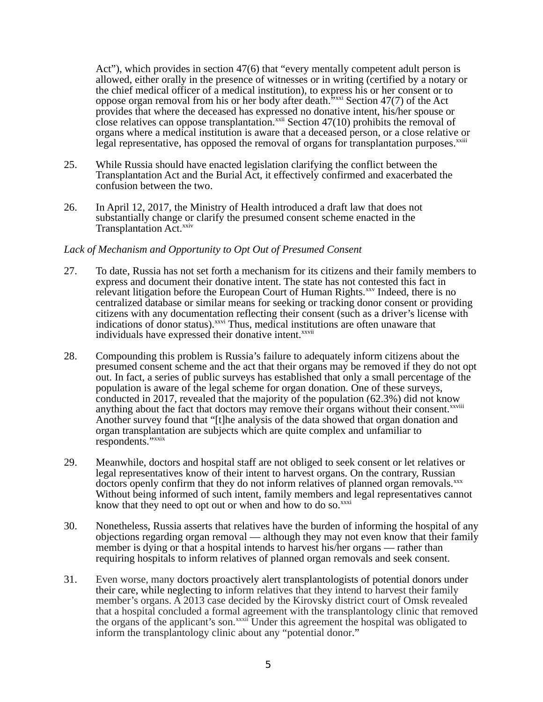Act"), which provides in section 47(6) that "every mentally competent adult person is allowed, either orally in the presence of witnesses or in writing (certified by a notary or the chief medical officer of a medical institution), to express his or her consent or to oppose organ removal from his or her body after death.<sup>5xxi</sup> Section 47(7) of the Act provides that where the deceased has expressed no donative intent, his/her spouse or close relatives can oppose transplantation. $x^{\text{xiii}}$  Section 47(10) prohibits the removal of organs where a medical institution is aware that a deceased person, or a close relative or legal representative, has opposed the removal of organs for transplantation purposes. $^{x\text{xiii}}$ 

- 25. While Russia should have enacted legislation clarifying the conflict between the Transplantation Act and the Burial Act, it effectively confirmed and exacerbated the confusion between the two.
- 26. In April 12, 2017, the Ministry of Health introduced a draft law that does not substantially change or clarify the presumed consent scheme enacted in the Transplantation Act.<sup>xxiv</sup>

#### *Lack of Mechanism and Opportunity to Opt Out of Presumed Consent*

- 27. To date, Russia has not set forth a mechanism for its citizens and their family members to express and document their donative intent. The state has not contested this fact in relevant litigation before the European Court of Human Rights.<sup>xxv</sup> Indeed, there is no centralized database or similar means for seeking or tracking donor consent or providing citizens with any documentation reflecting their consent (such as a driver's license with indications of donor status).<sup>xxvi</sup> Thus, medical institutions are often unaware that individuals have expressed their donative intent.<sup>xxvii</sup>
- 28. Compounding this problem is Russia's failure to adequately inform citizens about the presumed consent scheme and the act that their organs may be removed if they do not opt out. In fact, a series of public surveys has established that only a small percentage of the population is aware of the legal scheme for organ donation. One of these surveys, conducted in 2017, revealed that the majority of the population (62.3%) did not know anything about the fact that doctors may remove their organs without their consent.<sup>xxviii</sup> Another survey found that "[t]he analysis of the data showed that organ donation and organ transplantation are subjects which are quite complex and unfamiliar to respondents."xxix
- 29. Meanwhile, doctors and hospital staff are not obliged to seek consent or let relatives or legal representatives know of their intent to harvest organs. On the contrary, Russian doctors openly confirm that they do not inform relatives of planned organ removals.<sup>xxx</sup> Without being informed of such intent, family members and legal representatives cannot know that they need to opt out or when and how to do so. $^{xxxxi}$
- 30. Nonetheless, Russia asserts that relatives have the burden of informing the hospital of any objections regarding organ removal — although they may not even know that their family member is dying or that a hospital intends to harvest his/her organs — rather than requiring hospitals to inform relatives of planned organ removals and seek consent.
- 31. Even worse, many doctors proactively alert transplantologists of potential donors under their care, while neglecting to inform relatives that they intend to harvest their family member's organs. A 2013 case decided by the Kirovsky district court of Omsk revealed that a hospital concluded a formal agreement with the transplantology clinic that removed the organs of the applicant's son.<sup>xxxii</sup> Under this agreement the hospital was obligated to inform the transplantology clinic about any "potential donor."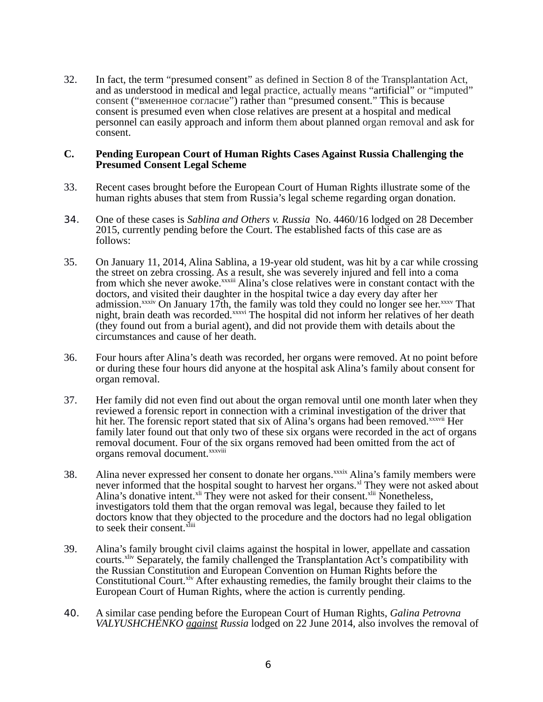32. In fact, the term "presumed consent" as defined in Section 8 of the Transplantation Act, and as understood in medical and legal practice, actually means "artificial" or "imputed" consent ("вмененное согласие") rather than "presumed consent." This is because consent is presumed even when close relatives are present at a hospital and medical personnel can easily approach and inform them about planned organ removal and ask for consent.

#### **C. Pending European Court of Human Rights Cases Against Russia Challenging the Presumed Consent Legal Scheme**

- 33. Recent cases brought before the European Court of Human Rights illustrate some of the human rights abuses that stem from Russia's legal scheme regarding organ donation.
- 34. One of these cases is *Sablina and Others v. Russia* No. 4460/16 lodged on 28 December 2015*,* currently pending before the Court. The established facts of this case are as follows:
- 35. On January 11, 2014, Alina Sablina, a 19-year old student, was hit by a car while crossing the street on zebra crossing. As a result, she was severely injured and fell into a coma from which she never awoke.<sup>xxxiii</sup> Alina's close relatives were in constant contact with the doctors, and visited their daughter in the hospital twice a day every day after her admission.<sup>xxxiv</sup> On January 17th, the family was told they could no longer see her. $xxxv$  That night, brain death was recorded.<sup>xxxvi</sup> The hospital did not inform her relatives of her death (they found out from a burial agent), and did not provide them with details about the circumstances and cause of her death.
- 36. Four hours after Alina's death was recorded, her organs were removed. At no point before or during these four hours did anyone at the hospital ask Alina's family about consent for organ removal.
- 37. Her family did not even find out about the organ removal until one month later when they reviewed a forensic report in connection with a criminal investigation of the driver that hit her. The forensic report stated that six of Alina's organs had been removed.<sup>xxxvii</sup> Her family later found out that only two of these six organs were recorded in the act of organs removal document. Four of the six organs removed had been omitted from the act of organs removal document.<sup>xxxviii</sup>
- 38. Alina never expressed her consent to donate her organs.<sup>xxxix</sup> Alina's family members were never informed that the hospital sought to harvest her organs. $^{\text{xl}}$  They were not asked about Alina's donative intent.<sup>xli</sup> They were not asked for their consent.<sup>xlii</sup> Nonetheless, investigators told them that the organ removal was legal, because they failed to let doctors know that they objected to the procedure and the doctors had no legal obligation to seek their consent.<sup>xliii</sup>
- 39. Alina's family brought civil claims against the hospital in lower, appellate and cassation courts.<sup>xliv</sup> Separately, the family challenged the Transplantation Act's compatibility with the Russian Constitution and European Convention on Human Rights before the Constitutional Court.<sup>xlv</sup> After exhausting remedies, the family brought their claims to the European Court of Human Rights, where the action is currently pending.
- 40. A similar case pending before the European Court of Human Rights, *Galina Petrovna VALYUSHCHENKO against Russia* lodged on 22 June 2014*,* also involves the removal of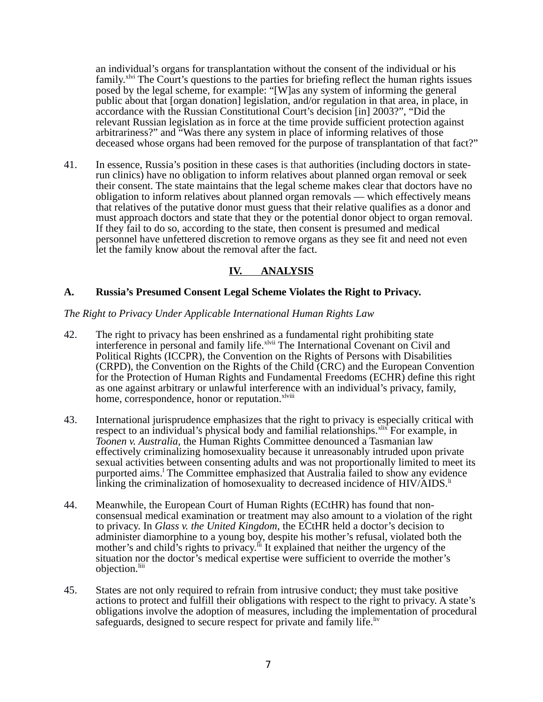an individual's organs for transplantation without the consent of the individual or his family.<sup>xlvi</sup> The Court's questions to the parties for briefing reflect the human rights issues posed by the legal scheme, for example: "[W]as any system of informing the general public about that [organ donation] legislation, and/or regulation in that area, in place, in accordance with the Russian Constitutional Court's decision [in] 2003?", "Did the relevant Russian legislation as in force at the time provide sufficient protection against arbitrariness?" and "Was there any system in place of informing relatives of those deceased whose organs had been removed for the purpose of transplantation of that fact?"

41. In essence, Russia's position in these cases is that authorities (including doctors in staterun clinics) have no obligation to inform relatives about planned organ removal or seek their consent. The state maintains that the legal scheme makes clear that doctors have no obligation to inform relatives about planned organ removals — which effectively means that relatives of the putative donor must guess that their relative qualifies as a donor and must approach doctors and state that they or the potential donor object to organ removal. If they fail to do so, according to the state, then consent is presumed and medical personnel have unfettered discretion to remove organs as they see fit and need not even let the family know about the removal after the fact.

# **IV. ANALYSIS**

# **A. Russia's Presumed Consent Legal Scheme Violates the Right to Privacy.**

#### *The Right to Privacy Under Applicable International Human Rights Law*

- 42. The right to privacy has been enshrined as a fundamental right prohibiting state interference in personal and family life.<sup>xlvii</sup> The International Covenant on Civil and Political Rights (ICCPR), the Convention on the Rights of Persons with Disabilities (CRPD), the Convention on the Rights of the Child (CRC) and the European Convention for the Protection of Human Rights and Fundamental Freedoms (ECHR) define this right as one against arbitrary or unlawful interference with an individual's privacy, family, home, correspondence, honor or reputation.<sup>xlviii</sup>
- 43. International jurisprudence emphasizes that the right to privacy is especially critical with respect to an individual's physical body and familial relationships.<sup>xlix</sup> For example, in *Toonen v. Australia*, the Human Rights Committee denounced a Tasmanian law effectively criminalizing homosexuality because it unreasonably intruded upon private sexual activities between consenting adults and was not proportionally limited to meet its purported aims.<sup>1</sup> The Committee emphasized that Australia failed to show any evidence linking the criminalization of homosexuality to decreased incidence of  $HIV/AIDS$ .<sup>li</sup>
- 44. Meanwhile, the European Court of Human Rights (ECtHR) has found that nonconsensual medical examination or treatment may also amount to a violation of the right to privacy. In *Glass v. the United Kingdom*, the ECtHR held a doctor's decision to administer diamorphine to a young boy, despite his mother's refusal, violated both the mother's and child's rights to privacy.<sup> $\ddot{h}$ </sup> It explained that neither the urgency of the situation nor the doctor's medical expertise were sufficient to override the mother's objection.<sup>liii</sup>
- 45. States are not only required to refrain from intrusive conduct; they must take positive actions to protect and fulfill their obligations with respect to the right to privacy. A state's obligations involve the adoption of measures, including the implementation of procedural safeguards, designed to secure respect for private and family life. Iv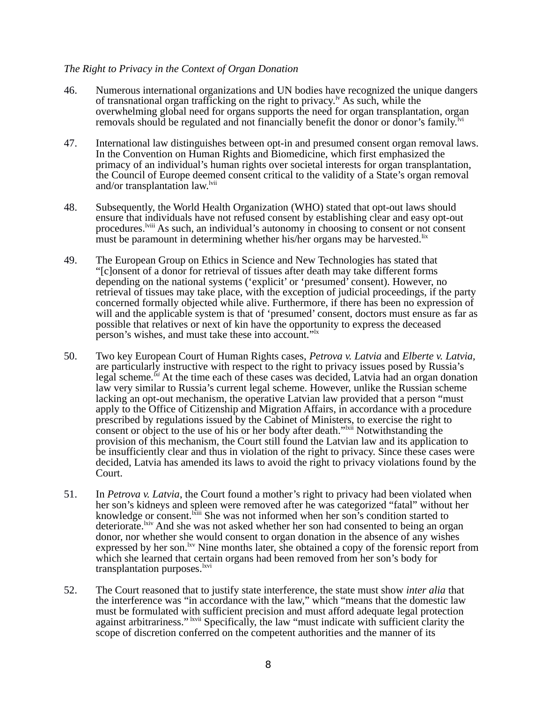# *The Right to Privacy in the Context of Organ Donation*

- 46. Numerous international organizations and UN bodies have recognized the unique dangers of transnational organ trafficking on the right to privacy.<sup> $\nu$ </sup> As such, while the overwhelming global need for organs supports the need for organ transplantation, organ removals should be regulated and not financially benefit the donor or donor's family.<sup> $\frac{1}{1}$ vi</sup>
- 47. International law distinguishes between opt-in and presumed consent organ removal laws. In the Convention on Human Rights and Biomedicine, which first emphasized the primacy of an individual's human rights over societal interests for organ transplantation, the Council of Europe deemed consent critical to the validity of a State's organ removal and/or transplantation law.<sup>lvii</sup>
- 48. Subsequently, the World Health Organization (WHO) stated that opt-out laws should ensure that individuals have not refused consent by establishing clear and easy opt-out procedures.<sup>Iviii</sup> As such, an individual's autonomy in choosing to consent or not consent must be paramount in determining whether his/her organs may be harvested. IIx
- 49. The European Group on Ethics in Science and New Technologies has stated that "[c]onsent of a donor for retrieval of tissues after death may take different forms depending on the national systems ('explicit' or 'presumed' consent). However, no retrieval of tissues may take place, with the exception of judicial proceedings, if the party concerned formally objected while alive. Furthermore, if there has been no expression of will and the applicable system is that of 'presumed' consent, doctors must ensure as far as possible that relatives or next of kin have the opportunity to express the deceased person's wishes, and must take these into account."<sup>1x</sup>
- 50. Two key European Court of Human Rights cases, *Petrova v. Latvia* and *Elberte v. Latvia,* are particularly instructive with respect to the right to privacy issues posed by Russia's legal scheme.<sup>*Ki*</sup> At the time each of these cases was decided, Latvia had an organ donation law very similar to Russia's current legal scheme. However, unlike the Russian scheme lacking an opt-out mechanism, the operative Latvian law provided that a person "must apply to the Office of Citizenship and Migration Affairs, in accordance with a procedure prescribed by regulations issued by the Cabinet of Ministers, to exercise the right to consent or object to the use of his or her body after death."<sup>Ixii</sup> Notwithstanding the provision of this mechanism, the Court still found the Latvian law and its application to be insufficiently clear and thus in violation of the right to privacy. Since these cases were decided, Latvia has amended its laws to avoid the right to privacy violations found by the Court.
- 51. In *Petrova v. Latvia*, the Court found a mother's right to privacy had been violated when her son's kidneys and spleen were removed after he was categorized "fatal" without her knowledge or consent.<sup>Ixiii</sup> She was not informed when her son's condition started to deteriorate.<sup>kiv</sup> And she was not asked whether her son had consented to being an organ donor, nor whether she would consent to organ donation in the absence of any wishes expressed by her son.<sup>lxv</sup> Nine months later, she obtained a copy of the forensic report from which she learned that certain organs had been removed from her son's body for transplantation purposes. **lxvi**
- 52. The Court reasoned that to justify state interference, the state must show *inter alia* that the interference was "in accordance with the law," which "means that the domestic law must be formulated with sufficient precision and must afford adequate legal protection against arbitrariness." <sup>Ixvii</sup> Specifically, the law "must indicate with sufficient clarity the scope of discretion conferred on the competent authorities and the manner of its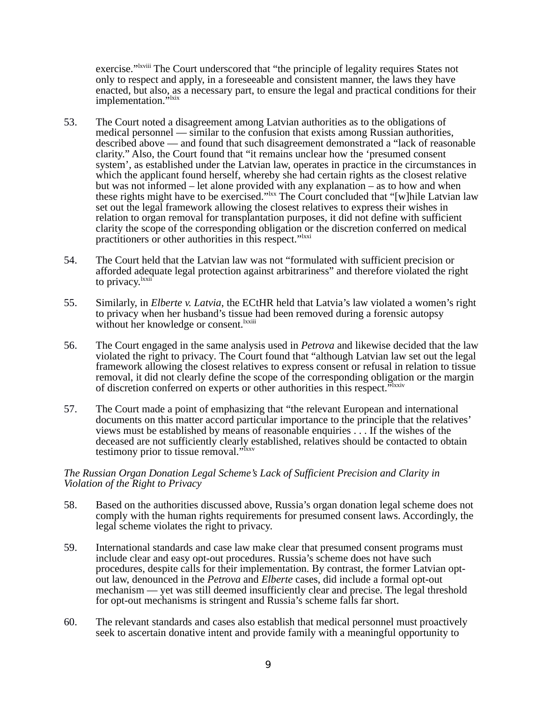exercise."<sup>Ixviii</sup> The Court underscored that "the principle of legality requires States not only to respect and apply, in a foreseeable and consistent manner, the laws they have enacted, but also, as a necessary part, to ensure the legal and practical conditions for their implementation."<sup>Ixix</sup>

- 53. The Court noted a disagreement among Latvian authorities as to the obligations of medical personnel — similar to the confusion that exists among Russian authorities, described above — and found that such disagreement demonstrated a "lack of reasonable clarity." Also, the Court found that "it remains unclear how the 'presumed consent system', as established under the Latvian law, operates in practice in the circumstances in which the applicant found herself, whereby she had certain rights as the closest relative but was not informed – let alone provided with any explanation – as to how and when these rights might have to be exercised." $\frac{1}{x}$  The Court concluded that "[w]hile Latvian law set out the legal framework allowing the closest relatives to express their wishes in relation to organ removal for transplantation purposes, it did not define with sufficient clarity the scope of the corresponding obligation or the discretion conferred on medical practitioners or other authorities in this respect."<sup>Ixxi</sup>
- 54. The Court held that the Latvian law was not "formulated with sufficient precision or afforded adequate legal protection against arbitrariness" and therefore violated the right to privacy.<sup>lxxii</sup>
- 55. Similarly, in *Elberte v. Latvia*, the ECtHR held that Latvia's law violated a women's right to privacy when her husband's tissue had been removed during a forensic autopsy without her knowledge or consent.<sup>lxxiii</sup>
- 56. The Court engaged in the same analysis used in *Petrova* and likewise decided that the law violated the right to privacy*.* The Court found that "although Latvian law set out the legal framework allowing the closest relatives to express consent or refusal in relation to tissue removal, it did not clearly define the scope of the corresponding obligation or the margin of discretion conferred on experts or other authorities in this respect."<sup>Ixxiv</sup>
- 57. The Court made a point of emphasizing that "the relevant European and international documents on this matter accord particular importance to the principle that the relatives' views must be established by means of reasonable enquiries . . . If the wishes of the deceased are not sufficiently clearly established, relatives should be contacted to obtain testimony prior to tissue removal."<sup>Ixxv</sup>

#### *The Russian Organ Donation Legal Scheme's Lack of Sufficient Precision and Clarity in Violation of the Right to Privacy*

- 58. Based on the authorities discussed above, Russia's organ donation legal scheme does not comply with the human rights requirements for presumed consent laws. Accordingly, the legal scheme violates the right to privacy.
- 59. International standards and case law make clear that presumed consent programs must include clear and easy opt-out procedures. Russia's scheme does not have such procedures, despite calls for their implementation. By contrast, the former Latvian optout law, denounced in the *Petrova* and *Elberte* cases, did include a formal opt-out mechanism — yet was still deemed insufficiently clear and precise. The legal threshold for opt-out mechanisms is stringent and Russia's scheme falls far short.
- 60. The relevant standards and cases also establish that medical personnel must proactively seek to ascertain donative intent and provide family with a meaningful opportunity to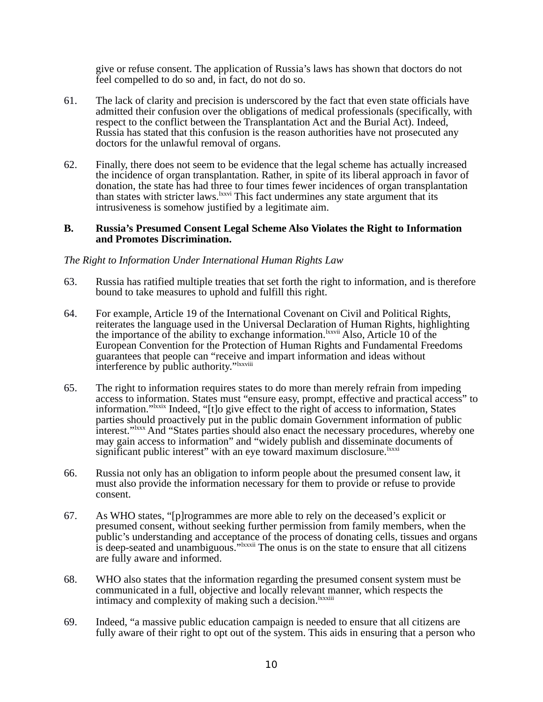give or refuse consent. The application of Russia's laws has shown that doctors do not feel compelled to do so and, in fact, do not do so.

- 61. The lack of clarity and precision is underscored by the fact that even state officials have admitted their confusion over the obligations of medical professionals (specifically, with respect to the conflict between the Transplantation Act and the Burial Act). Indeed, Russia has stated that this confusion is the reason authorities have not prosecuted any doctors for the unlawful removal of organs.
- 62. Finally, there does not seem to be evidence that the legal scheme has actually increased the incidence of organ transplantation. Rather, in spite of its liberal approach in favor of donation, the state has had three to four times fewer incidences of organ transplantation than states with stricter laws.<sup>lxxvi</sup> This fact undermines any state argument that its intrusiveness is somehow justified by a legitimate aim.

#### **B. Russia's Presumed Consent Legal Scheme Also Violates the Right to Information and Promotes Discrimination.**

# *The Right to Information Under International Human Rights Law*

- 63. Russia has ratified multiple treaties that set forth the right to information, and is therefore bound to take measures to uphold and fulfill this right.
- 64. For example, Article 19 of the International Covenant on Civil and Political Rights, reiterates the language used in the Universal Declaration of Human Rights, highlighting the importance of the ability to exchange information.<sup>lxxvii</sup> Also, Article 10 of the European Convention for the Protection of Human Rights and Fundamental Freedoms guarantees that people can "receive and impart information and ideas without interference by public authority."<sup>Ixxviii</sup>
- 65. The right to information requires states to do more than merely refrain from impeding access to information. States must "ensure easy, prompt, effective and practical access" to information."<sup>Ixxix</sup> Indeed, "[t]o give effect to the right of access to information, States parties should proactively put in the public domain Government information of public interest."<sup>Ixxx</sup> And "States parties should also enact the necessary procedures, whereby one may gain access to information" and "widely publish and disseminate documents of significant public interest" with an eye toward maximum disclosure. Ixxxi
- 66. Russia not only has an obligation to inform people about the presumed consent law, it must also provide the information necessary for them to provide or refuse to provide consent.
- 67. As WHO states, "[p]rogrammes are more able to rely on the deceased's explicit or presumed consent, without seeking further permission from family members, when the public's understanding and acceptance of the process of donating cells, tissues and organs is deep-seated and unambiguous."<sup>Ixxxii</sup> The onus is on the state to ensure that all citizens are fully aware and informed.
- 68. WHO also states that the information regarding the presumed consent system must be communicated in a full, objective and locally relevant manner, which respects the intimacy and complexity of making such a decision.<sup>lxxxiii</sup>
- 69. Indeed, "a massive public education campaign is needed to ensure that all citizens are fully aware of their right to opt out of the system. This aids in ensuring that a person who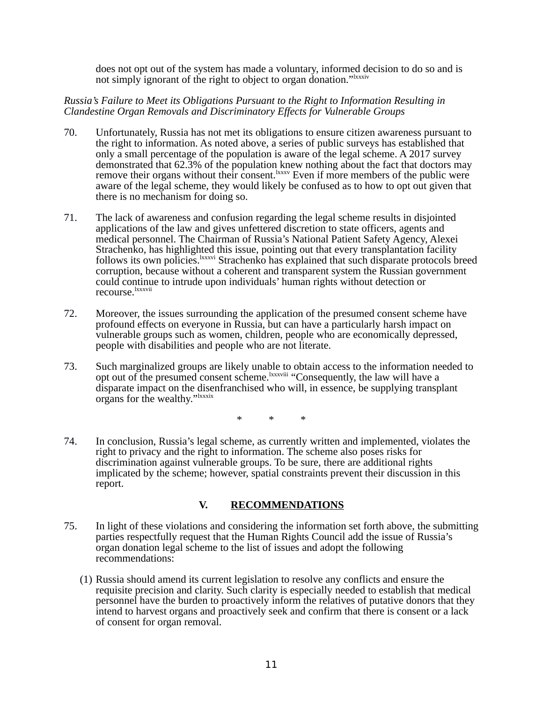does not opt out of the system has made a voluntary, informed decision to do so and is not simply ignorant of the right to object to organ donation."<sup>IXXXIV</sup>

#### *Russia's Failure to Meet its Obligations Pursuant to the Right to Information Resulting in Clandestine Organ Removals and Discriminatory Effects for Vulnerable Groups*

- 70. Unfortunately, Russia has not met its obligations to ensure citizen awareness pursuant to the right to information. As noted above, a series of public surveys has established that only a small percentage of the population is aware of the legal scheme. A 2017 survey demonstrated that 62.3% of the population knew nothing about the fact that doctors may remove their organs without their consent.<sup>lxxxv</sup> Even if more members of the public were aware of the legal scheme, they would likely be confused as to how to opt out given that there is no mechanism for doing so.
- 71. The lack of awareness and confusion regarding the legal scheme results in disjointed applications of the law and gives unfettered discretion to state officers, agents and medical personnel. The Chairman of Russia's National Patient Safety Agency, Alexei Strachenko, has highlighted this issue, pointing out that every transplantation facility follows its own policies. Ixxxvi Strachenko has explained that such disparate protocols breed corruption, because without a coherent and transparent system the Russian government could continue to intrude upon individuals' human rights without detection or recourse. <u>Ixxxvii</u>
- 72. Moreover, the issues surrounding the application of the presumed consent scheme have profound effects on everyone in Russia, but can have a particularly harsh impact on vulnerable groups such as women, children, people who are economically depressed, people with disabilities and people who are not literate.
- 73. Such marginalized groups are likely unable to obtain access to the information needed to opt out of the presumed consent scheme. IXXXVIII "Consequently, the law will have a disparate impact on the disenfranchised who will, in essence, be supplying transplant organs for the wealthy."<sup>Ixxxix</sup>

\* \* \*

74. In conclusion, Russia's legal scheme, as currently written and implemented, violates the right to privacy and the right to information. The scheme also poses risks for discrimination against vulnerable groups. To be sure, there are additional rights implicated by the scheme; however, spatial constraints prevent their discussion in this report.

# **V. RECOMMENDATIONS**

- 75. In light of these violations and considering the information set forth above, the submitting parties respectfully request that the Human Rights Council add the issue of Russia's organ donation legal scheme to the list of issues and adopt the following recommendations:
	- (1) Russia should amend its current legislation to resolve any conflicts and ensure the requisite precision and clarity. Such clarity is especially needed to establish that medical personnel have the burden to proactively inform the relatives of putative donors that they intend to harvest organs and proactively seek and confirm that there is consent or a lack of consent for organ removal.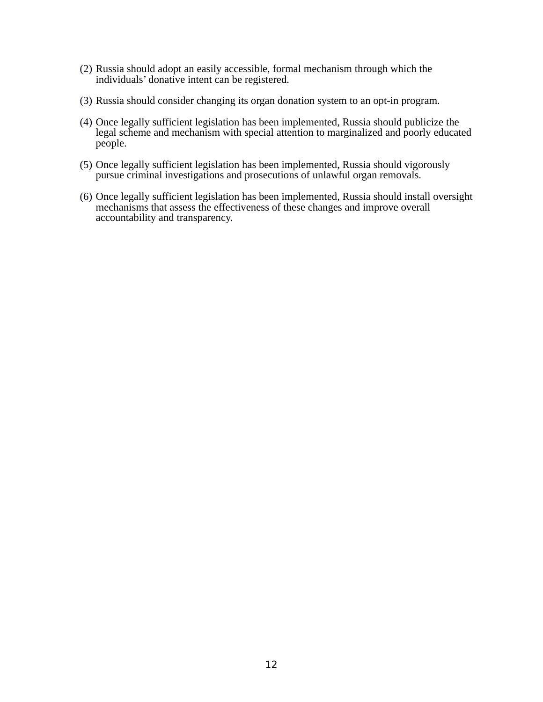- (2) Russia should adopt an easily accessible, formal mechanism through which the individuals' donative intent can be registered.
- (3) Russia should consider changing its organ donation system to an opt-in program.
- (4) Once legally sufficient legislation has been implemented, Russia should publicize the legal scheme and mechanism with special attention to marginalized and poorly educated people.
- (5) Once legally sufficient legislation has been implemented, Russia should vigorously pursue criminal investigations and prosecutions of unlawful organ removals.
- (6) Once legally sufficient legislation has been implemented, Russia should install oversight mechanisms that assess the effectiveness of these changes and improve overall accountability and transparency.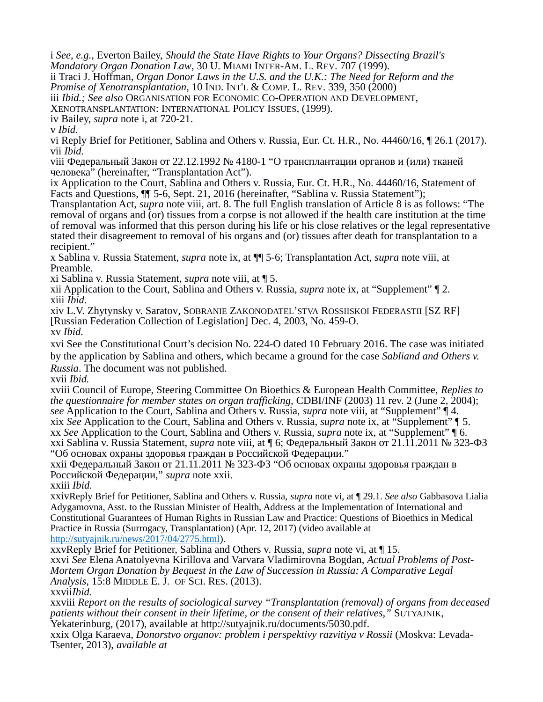i *See, e.g.,* Everton Bailey, *Should the State Have Rights to Your Organs? Dissecting Brazil's Mandatory Organ Donation Law*, 30 U. MIAMI INTER-AM. L. REV. 707 (1999).

ii Traci J. Hoffman, *Organ Donor Laws in the U.S. and the U.K.: The Need for Reform and the Promise of Xenotransplantation*, 10 IND. INT'L & COMP. L. REV. 339, 350 (2000)

iii *Ibid.; See also* ORGANISATION FOR ECONOMIC CO-OPERATION AND DEVELOPMENT,

XENOTRANSPLANTATION: INTERNATIONAL POLICY ISSUES, (1999).

iv Bailey, *supra* note i, at 720-21.

v *Ibid.*

vi Reply Brief for Petitioner, Sablina and Others v. Russia, Eur. Ct. H.R., No. 44460/16, ¶ 26.1 (2017). vii *Ibid.*

viii Федеральный Закон от 22.12.1992 № 4180-1 "О трансплантации органов и (или) тканей человека" (hereinafter, "Transplantation Act").

ix Application to the Court, Sablina and Others v. Russia*,* Eur. Ct. H.R., No. 44460/16, Statement of Facts and Questions, ¶¶ 5-6, Sept. 21, 2016 (hereinafter, "Sablina v. Russia Statement");

Transplantation Act, *supra* note viii, art. 8. The full English translation of Article 8 is as follows: "The removal of organs and (or) tissues from a corpse is not allowed if the health care institution at the time of removal was informed that this person during his life or his close relatives or the legal representative stated their disagreement to removal of his organs and (or) tissues after death for transplantation to a recipient."

x Sablina v. Russia Statement, *supra* note ix, at ¶¶ 5-6; Transplantation Act, *supra* note viii, at Preamble.

xi Sablina v. Russia Statement, *supra* note viii, at ¶ 5.

xii Application to the Court, Sablina and Others v. Russia, *supra* note ix, at "Supplement" ¶ 2. xiii *Ibid.*

xiv L.V. Zhytynsky v. Saratov*,* SOBRANIE ZAKONODATEL'STVA ROSSIISKOI FEDERASTII [SZ RF] [Russian Federation Collection of Legislation] Dec. 4, 2003, No. 459-O. xv *Ibid.*

xvi See the Constitutional Court's decision No. 224-О dated 10 February 2016. The case was initiated by the application by Sablina and others, which became a ground for the case *Sabliand and Others v. Russia*. The document was not published.

xvii *Ibid.*

xviii Council of Europe, Steering Committee On Bioethics & European Health Committee, *Replies to the questionnaire for member states on organ trafficking,* CDBI/INF (2003) 11 rev. 2 (June 2, 2004); *see* Application to the Court, Sablina and Others v. Russia, *supra* note viii, at "Supplement" ¶ 4. xix *See* Application to the Court, Sablina and Others v. Russia, *supra* note ix, at "Supplement" ¶ 5. xx *See* Application to the Court, Sablina and Others v. Russia, *supra* note ix, at "Supplement" ¶ 6. xxi Sablina v. Russia Statement, *supra* note viii, at ¶ 6; Федеральный Закон от 21.11.2011 № 323-ФЗ "Об основах охраны здоровья граждан в Российской Федерации."

xxii Федеральный Закон от 21.11.2011 № 323-ФЗ "Об основах охраны здоровья граждан в Российской Федерации," *supra* note xxii.

xxiii *Ibid.*

xxivReply Brief for Petitioner, Sablina and Others v. Russia, *supra* note vi, at ¶ 29.1. *See also* Gabbasova Lialia Adygamovna, Asst. to the Russian Minister of Health, Address at the Implementation of International and Constitutional Guarantees of Human Rights in Russian Law and Practice: Questions of Bioethics in Medical Practice in Russia (Surrogacy, Transplantation) (Apr. 12, 2017) (video available at [http://sutyajnik.ru/news/2017/04/2775.html\)](http://sutyajnik.ru/news/2017/04/2775.html).

xxvReply Brief for Petitioner, Sablina and Others v. Russia, *supra* note vi, at ¶ 15.

xxvi *See* Elena Anatolyevna Kirillova and Varvara Vladimirovna Bogdan, *Actual Problems of Post-Mortem Organ Donation by Bequest in the Law of Succession in Russia: A Comparative Legal Analysis,* 15:8 MIDDLE E. J. OF SCI. RES. (2013).

xxvii*Ibid.*

xxviii *Report on the results of sociological survey "Transplantation (removal) of organs from deceased patients without their consent in their lifetime, or the consent of their relatives,"* SUTYAJNIK, Yekaterinburg, (2017), available at http://sutyajnik.ru/documents/5030.pdf.

xxix Olga Karaeva, *Donorstvo organov: problem i perspektivy razvitiya v Rossii* (Moskva: Levada-Tsenter, 2013), *available at*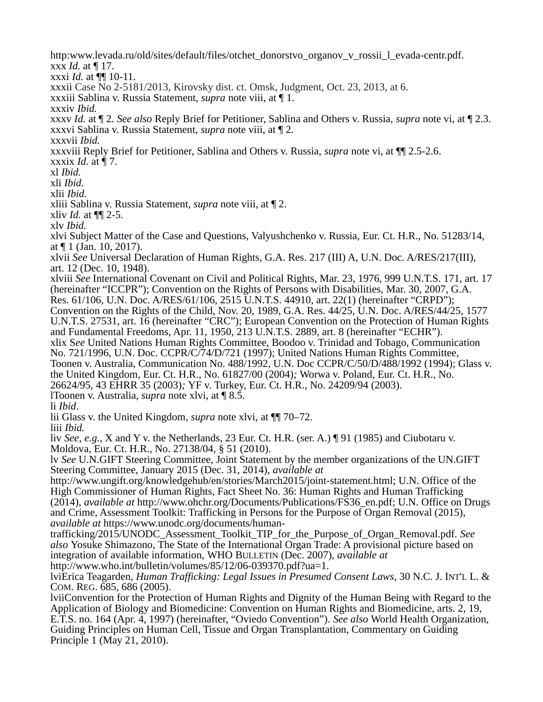http:www.levada.ru/old/sites/default/files/otchet\_donorstvo\_organov\_v\_rossii\_l\_evada-centr.pdf. xxx *Id.* at ¶ 17. xxxi *Id.* at ¶¶ 10-11. xxxii Case No 2-5181/2013, Kirovsky dist. ct. Omsk, Judgment, Oct. 23, 2013, at 6. xxxiii Sablina v. Russia Statement, *supra* note viii, at ¶ 1. xxxiv *Ibid.* xxxv *Id.* at ¶ 2*. See also* Reply Brief for Petitioner, Sablina and Others v. Russia, *supra* note vi, at ¶ 2.3. xxxvi Sablina v. Russia Statement, *supra* note viii, at ¶ 2. xxxvii *Ibid.* xxxviii Reply Brief for Petitioner, Sablina and Others v. Russia, *supra* note vi, at ¶¶ 2.5-2.6. xxxix *Id.* at ¶ 7. xl *Ibid.* xli *Ibid.* xlii *Ibid.* xliii Sablina v. Russia Statement, *supra* note viii, at ¶ 2. xliv *Id.* at ¶¶ 2-5. xlv *Ibid.* xlvi Subject Matter of the Case and Questions, Valyushchenko v. Russia, Eur. Ct. H.R., No. 51283/14, at ¶ 1 (Jan. 10, 2017). xlvii *See* Universal Declaration of Human Rights, G.A. Res. 217 (III) A, U.N. Doc. A/RES/217(III), art. 12 (Dec. 10, 1948). xlviii *See* International Covenant on Civil and Political Rights, Mar. 23, 1976, 999 U.N.T.S. 171, art. 17 (hereinafter "ICCPR"); Convention on the Rights of Persons with Disabilities, Mar. 30, 2007, G.A. Res. 61/106, U.N. Doc. A/RES/61/106, 2515 U.N.T.S. 44910, art. 22(1) (hereinafter "CRPD"); Convention on the Rights of the Child, Nov. 20, 1989, G.A. Res. 44/25, U.N. Doc. A/RES/44/25, 1577 U.N.T.S. 27531, art. 16 (hereinafter "CRC"); European Convention on the Protection of Human Rights and Fundamental Freedoms, Apr. 11, 1950, 213 U.N.T.S. 2889, art. 8 (hereinafter "ECHR"). xlix S*ee* United Nations Human Rights Committee, Boodoo v. Trinidad and Tobago, Communication No. 721/1996, U.N. Doc. CCPR/C/74/D/721 (1997); United Nations Human Rights Committee, Toonen v. Australia, Communication No. 488/1992, U.N. Doc CCPR/C/50/D/488/1992 (1994); Glass v. the United Kingdom*,* Eur. Ct. H.R., No. 61827/00 (2004)*;* Worwa v. Poland*,* Eur. Ct. H.R., No. 26624/95, 43 EHRR 35 (2003)*;* YF v. Turkey, Eur. Ct. H.R., No. 24209/94 (2003). lToonen v. Australia, *supra* note xlvi, at ¶ 8.5. li *Ibid*. lii Glass v. the United Kingdom*, supra* note xlvi, at ¶¶ 70–72. liii *Ibid.* liv *See, e.g.,* X and Y v. the Netherlands, 23 Eur. Ct. H.R. (ser. A.) ¶ 91 (1985) and Ciubotaru v. Moldova, Eur. Ct. H.R., No. 27138/04, § 51 (2010). lv *See* U.N.GIFT Steering Committee, Joint Statement by the member organizations of the UN.GIFT Steering Committee, January 2015 (Dec. 31, 2014), *available at*  http://www.ungift.org/knowledgehub/en/stories/March2015/joint-statement.html; U.N. Office of the High Commissioner of Human Rights, Fact Sheet No. 36: Human Rights and Human Trafficking (2014), *available at* http://www.ohchr.org/Documents/Publications/FS36\_en.pdf; U.N. Office on Drugs and Crime, Assessment Toolkit: Trafficking in Persons for the Purpose of Organ Removal (2015), *available at* https://www.unodc.org/documents/humantrafficking/2015/UNODC\_Assessment\_Toolkit\_TIP\_for\_the\_Purpose\_of\_Organ\_Removal.pdf. *See also* Yosuke Shimazono, The State of the International Organ Trade: A provisional picture based on integration of available information, WHO BULLETIN (Dec. 2007), *available at*  http://www.who.int/bulletin/volumes/85/12/06-039370.pdf?ua=1. lviErica Teagarden, *Human Trafficking: Legal Issues in Presumed Consent Laws*, 30 N.C. J. INT'L L. & COM. REG. 685, 686 (2005). lviiConvention for the Protection of Human Rights and Dignity of the Human Being with Regard to the Application of Biology and Biomedicine: Convention on Human Rights and Biomedicine, arts. 2, 19, E.T.S. no. 164 (Apr. 4, 1997) (hereinafter, "Oviedo Convention"). *See also* World Health Organization, Guiding Principles on Human Cell, Tissue and Organ Transplantation, Commentary on Guiding

Principle 1 (May 21, 2010).